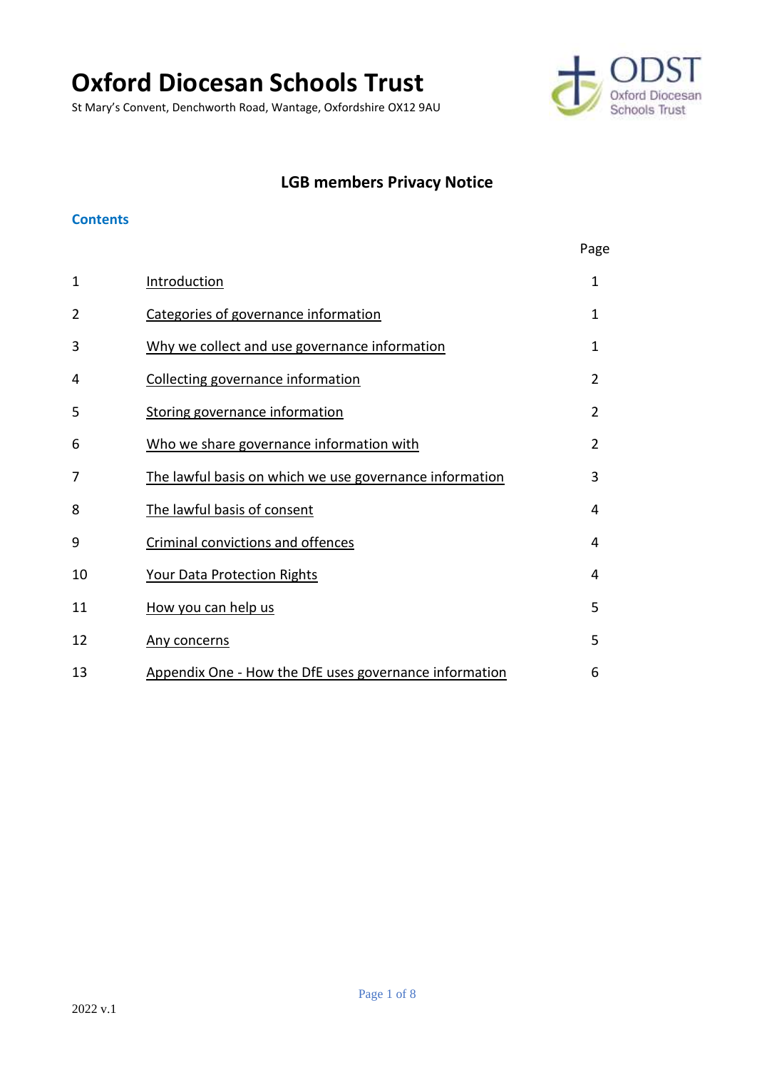# **Oxford Diocesan Schools Trust**

St Mary's Convent, Denchworth Road, Wantage, Oxfordshire OX12 9AU



## **LGB members Privacy Notice**

#### **Contents**

|                |                                                         | Page           |
|----------------|---------------------------------------------------------|----------------|
| 1              | Introduction                                            | $\mathbf{1}$   |
| $\overline{2}$ | Categories of governance information                    | $\mathbf 1$    |
| 3              | Why we collect and use governance information           | 1              |
| 4              | Collecting governance information                       | 2              |
| 5              | Storing governance information                          | $\overline{2}$ |
| 6              | Who we share governance information with                | $\overline{2}$ |
| 7              | The lawful basis on which we use governance information | 3              |
| 8              | The lawful basis of consent                             | 4              |
| 9              | Criminal convictions and offences                       | 4              |
| 10             | Your Data Protection Rights                             | 4              |
| 11             | How you can help us                                     | 5              |
| 12             | Any concerns                                            | 5              |
| 13             | Appendix One - How the DfE uses governance information  | 6              |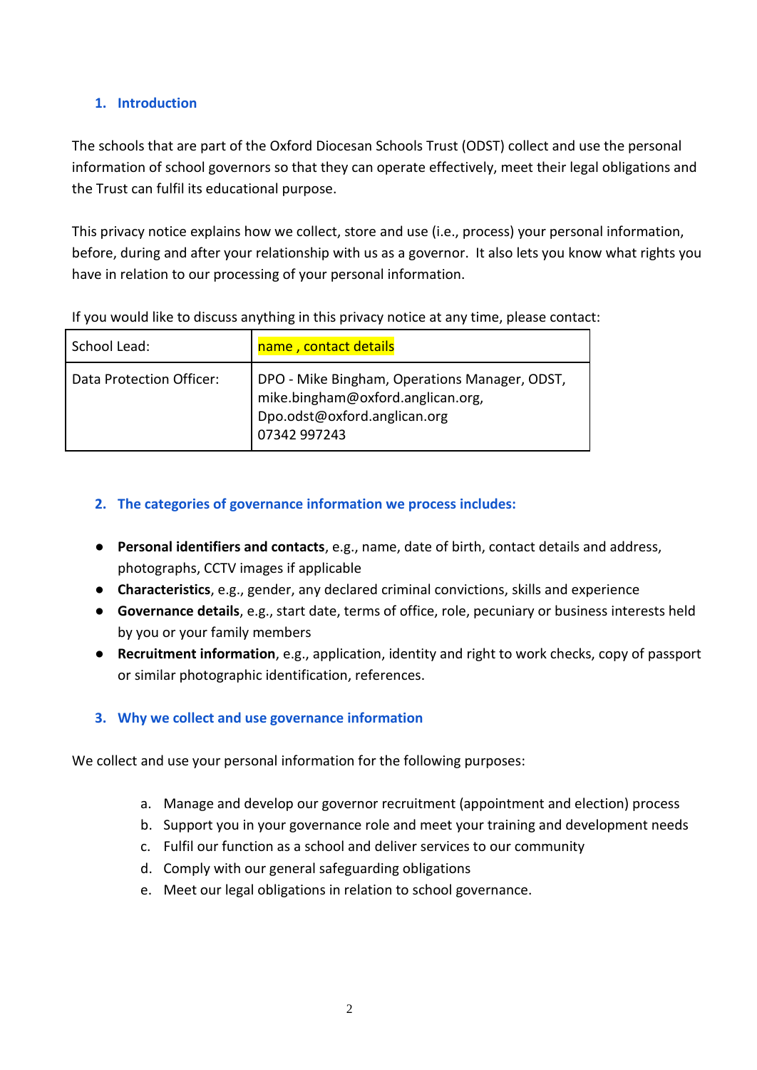## <span id="page-1-0"></span>**1. Introduction**

The schools that are part of the Oxford Diocesan Schools Trust (ODST) collect and use the personal information of school governors so that they can operate effectively, meet their legal obligations and the Trust can fulfil its educational purpose.

This privacy notice explains how we collect, store and use (i.e., process) your personal information, before, during and after your relationship with us as a governor. It also lets you know what rights you have in relation to our processing of your personal information.

| School Lead:             | name, contact details                                                                                                              |
|--------------------------|------------------------------------------------------------------------------------------------------------------------------------|
| Data Protection Officer: | DPO - Mike Bingham, Operations Manager, ODST,<br>mike.bingham@oxford.anglican.org,<br>bpo.odst@oxford.anglican.org<br>07342 997243 |

If you would like to discuss anything in this privacy notice at any time, please contact:

#### <span id="page-1-1"></span>**2. The categories of governance information we process includes:**

- **Personal identifiers and contacts**, e.g., name, date of birth, contact details and address, photographs, CCTV images if applicable
- **Characteristics**, e.g., gender, any declared criminal convictions, skills and experience
- **Governance details**, e.g., start date, terms of office, role, pecuniary or business interests held by you or your family members
- **Recruitment information**, e.g., application, identity and right to work checks, copy of passport or similar photographic identification, references.

## <span id="page-1-2"></span>**3. Why we collect and use governance information**

We collect and use your personal information for the following purposes:

- a. Manage and develop our governor recruitment (appointment and election) process
- b. Support you in your governance role and meet your training and development needs
- c. Fulfil our function as a school and deliver services to our community
- d. Comply with our general safeguarding obligations
- e. Meet our legal obligations in relation to school governance.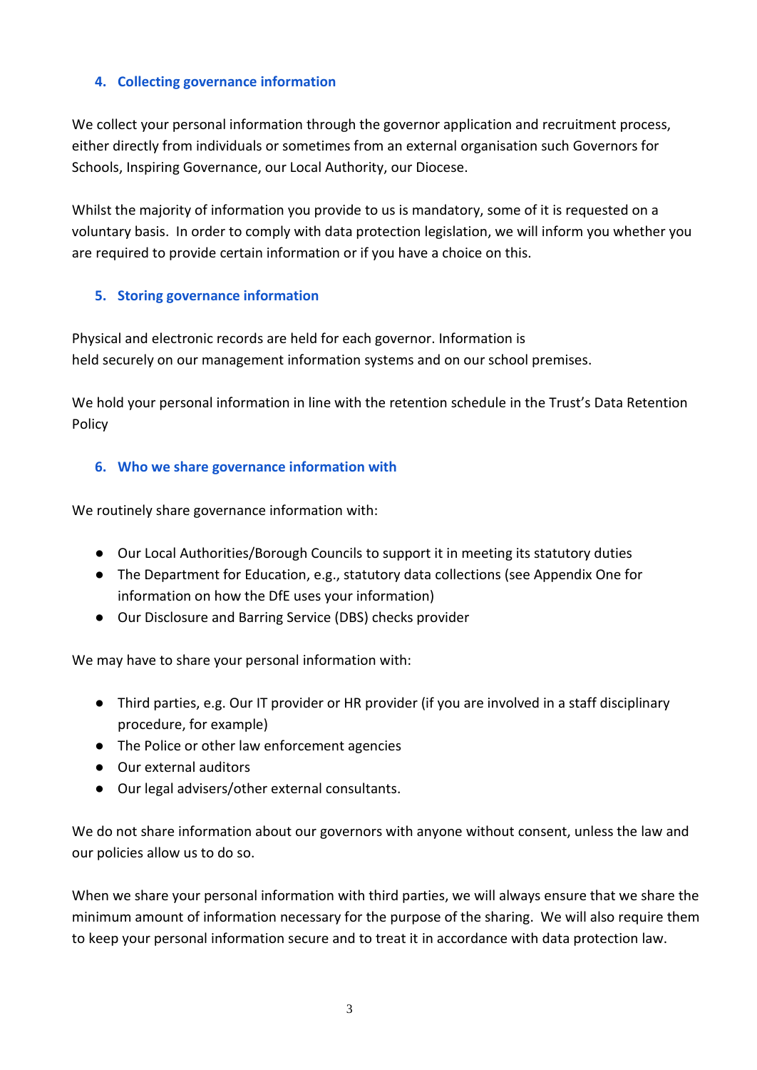## <span id="page-2-0"></span>**4. Collecting governance information**

We collect your personal information through the governor application and recruitment process, either directly from individuals or sometimes from an external organisation such Governors for Schools, Inspiring Governance, our Local Authority, our Diocese.

Whilst the majority of information you provide to us is mandatory, some of it is requested on a voluntary basis. In order to comply with data protection legislation, we will inform you whether you are required to provide certain information or if you have a choice on this.

#### <span id="page-2-1"></span>**5. Storing governance information**

Physical and electronic records are held for each governor. Information is held securely on our management information systems and on our school premises.

We hold your personal information in line with the retention schedule in the Trust's Data Retention Policy

#### <span id="page-2-2"></span>**6. Who we share governance information with**

We routinely share governance information with:

- Our Local Authorities/Borough Councils to support it in meeting its statutory duties
- The Department for Education, e.g., statutory data collections (see Appendix One for information on how the DfE uses your information)
- Our Disclosure and Barring Service (DBS) checks provider

We may have to share your personal information with:

- Third parties, e.g. Our IT provider or HR provider (if you are involved in a staff disciplinary procedure, for example)
- The Police or other law enforcement agencies
- Our external auditors
- Our legal advisers/other external consultants.

We do not share information about our governors with anyone without consent, unless the law and our policies allow us to do so.

When we share your personal information with third parties, we will always ensure that we share the minimum amount of information necessary for the purpose of the sharing. We will also require them to keep your personal information secure and to treat it in accordance with data protection law.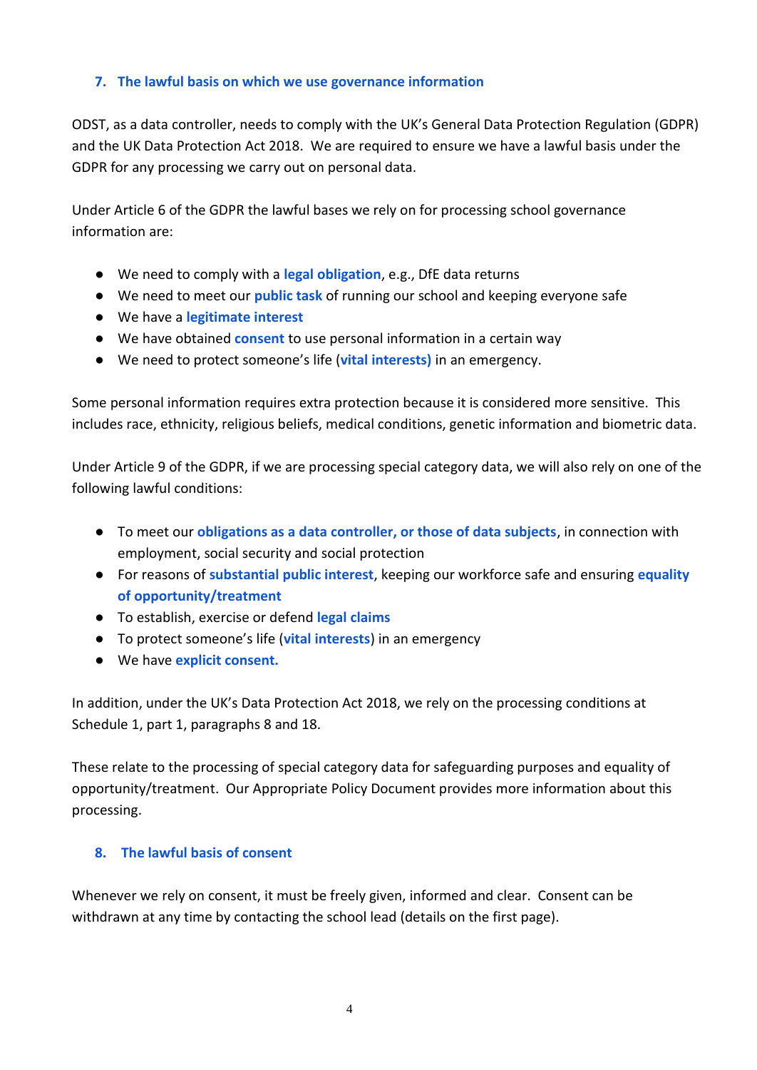#### <span id="page-3-0"></span>**7. The lawful basis on which we use governance information**

ODST, as a data controller, needs to comply with the UK's General Data Protection Regulation (GDPR) and the UK Data Protection Act 2018. We are required to ensure we have a lawful basis under the GDPR for any processing we carry out on personal data.

Under Article 6 of the GDPR the lawful bases we rely on for processing school governance information are:

- We need to comply with a **legal obligation**, e.g., DfE data returns
- We need to meet our **public task** of running our school and keeping everyone safe
- We have a **legitimate interest**
- We have obtained **consent** to use personal information in a certain way
- We need to protect someone's life (**vital interests)** in an emergency.

Some personal information requires extra protection because it is considered more sensitive. This includes race, ethnicity, religious beliefs, medical conditions, genetic information and biometric data.

Under Article 9 of the GDPR, if we are processing special category data, we will also rely on one of the following lawful conditions:

- To meet our **obligations as a data controller, or those of data subjects**, in connection with employment, social security and social protection
- For reasons of **substantial public interest**, keeping our workforce safe and ensuring **equality of opportunity/treatment**
- To establish, exercise or defend **legal claims**
- To protect someone's life (**vital interests**) in an emergency
- We have **explicit consent.**

In addition, under the UK's Data Protection Act 2018, we rely on the processing conditions at Schedule 1, part 1, paragraphs 8 and 18.

These relate to the processing of special category data for safeguarding purposes and equality of opportunity/treatment. Our Appropriate Policy Document provides more information about this processing.

#### <span id="page-3-1"></span>**8. The lawful basis of consent**

Whenever we rely on consent, it must be freely given, informed and clear. Consent can be withdrawn at any time by contacting the school lead (details on the first page).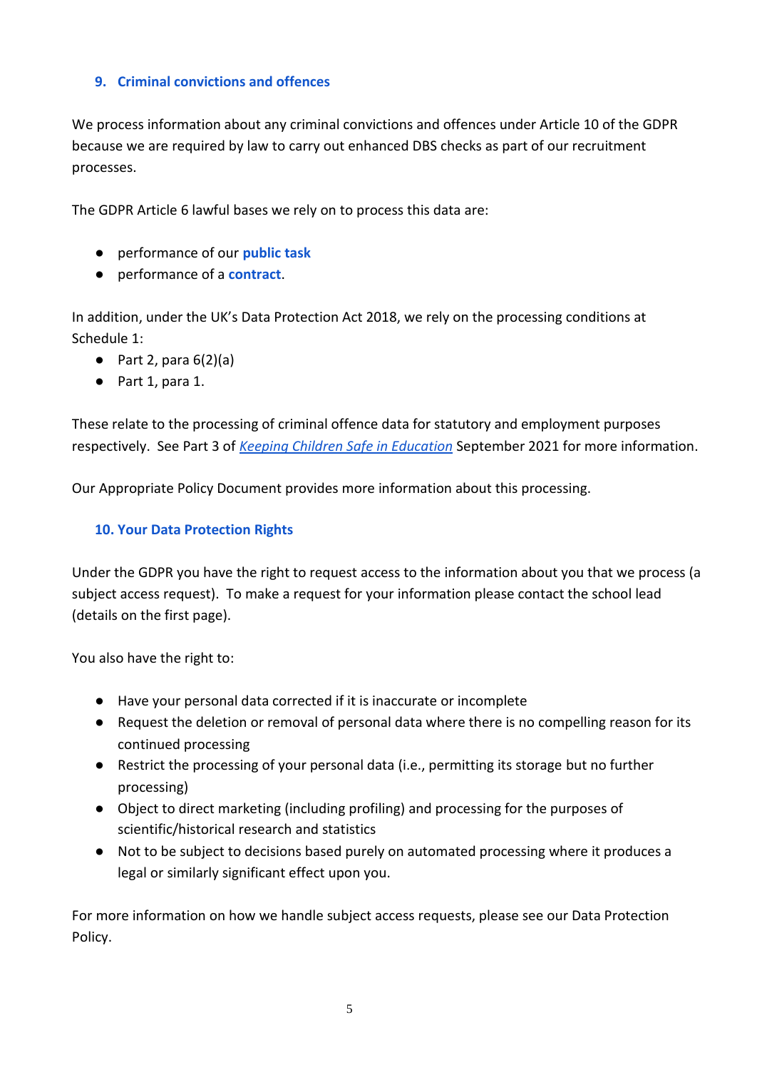## <span id="page-4-0"></span>**9. Criminal convictions and offences**

We process information about any criminal convictions and offences under Article 10 of the GDPR because we are required by law to carry out enhanced DBS checks as part of our recruitment processes.

The GDPR Article 6 lawful bases we rely on to process this data are:

- performance of our **public task**
- performance of a **contract**.

In addition, under the UK's Data Protection Act 2018, we rely on the processing conditions at Schedule 1:

- $\bullet$  Part 2, para 6(2)(a)
- Part 1, para 1.

These relate to the processing of criminal offence data for statutory and employment purposes respectively. See Part 3 of *[Keeping Children Safe in Education](https://assets.publishing.service.gov.uk/government/uploads/system/uploads/attachment_data/file/1007260/Keeping_children_safe_in_education_2021.pdf)* September 2021 for more information.

Our Appropriate Policy Document provides more information about this processing.

## <span id="page-4-1"></span>**10. Your Data Protection Rights**

Under the GDPR you have the right to request access to the information about you that we process (a subject access request). To make a request for your information please contact the school lead (details on the first page).

You also have the right to:

- Have your personal data corrected if it is inaccurate or incomplete
- Request the deletion or removal of personal data where there is no compelling reason for its continued processing
- Restrict the processing of your personal data (i.e., permitting its storage but no further processing)
- Object to direct marketing (including profiling) and processing for the purposes of scientific/historical research and statistics
- Not to be subject to decisions based purely on automated processing where it produces a legal or similarly significant effect upon you.

For more information on how we handle subject access requests, please see our Data Protection Policy.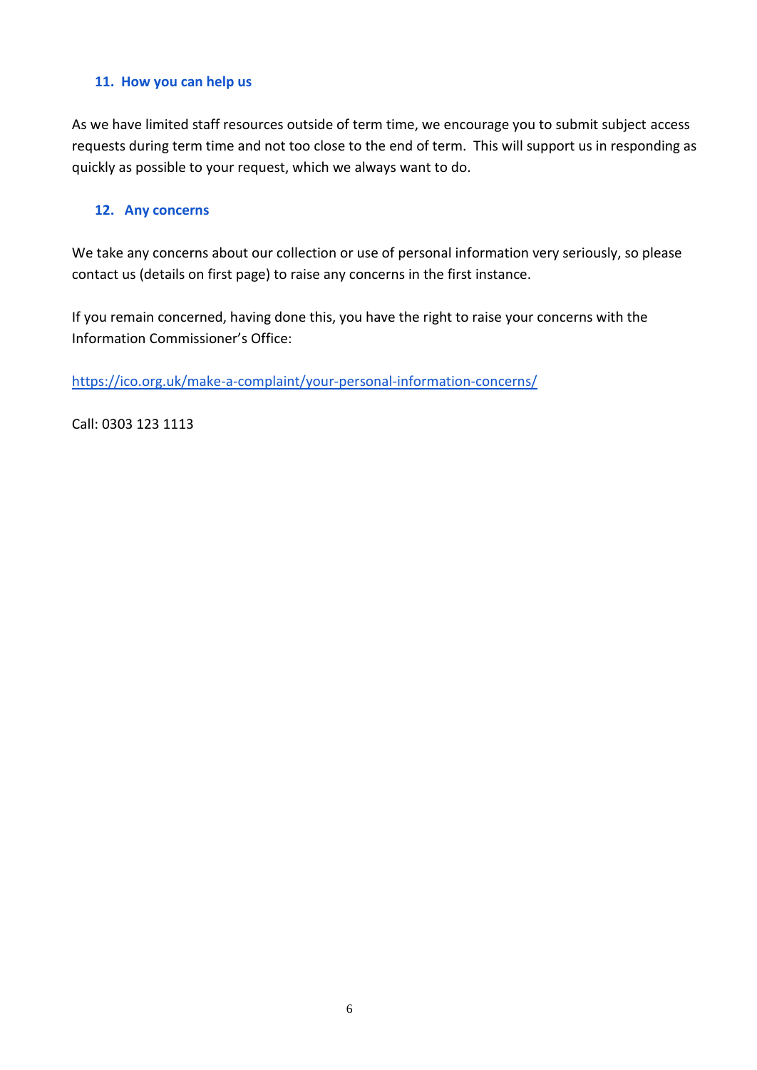#### <span id="page-5-0"></span>**11. How you can help us**

As we have limited staff resources outside of term time, we encourage you to submit subject access requests during term time and not too close to the end of term. This will support us in responding as quickly as possible to your request, which we always want to do.

#### <span id="page-5-1"></span>**12. Any concerns**

We take any concerns about our collection or use of personal information very seriously, so please contact us (details on first page) to raise any concerns in the first instance.

If you remain concerned, having done this, you have the right to raise your concerns with the Information Commissioner's Office:

<https://ico.org.uk/make-a-complaint/your-personal-information-concerns/>

Call: 0303 123 1113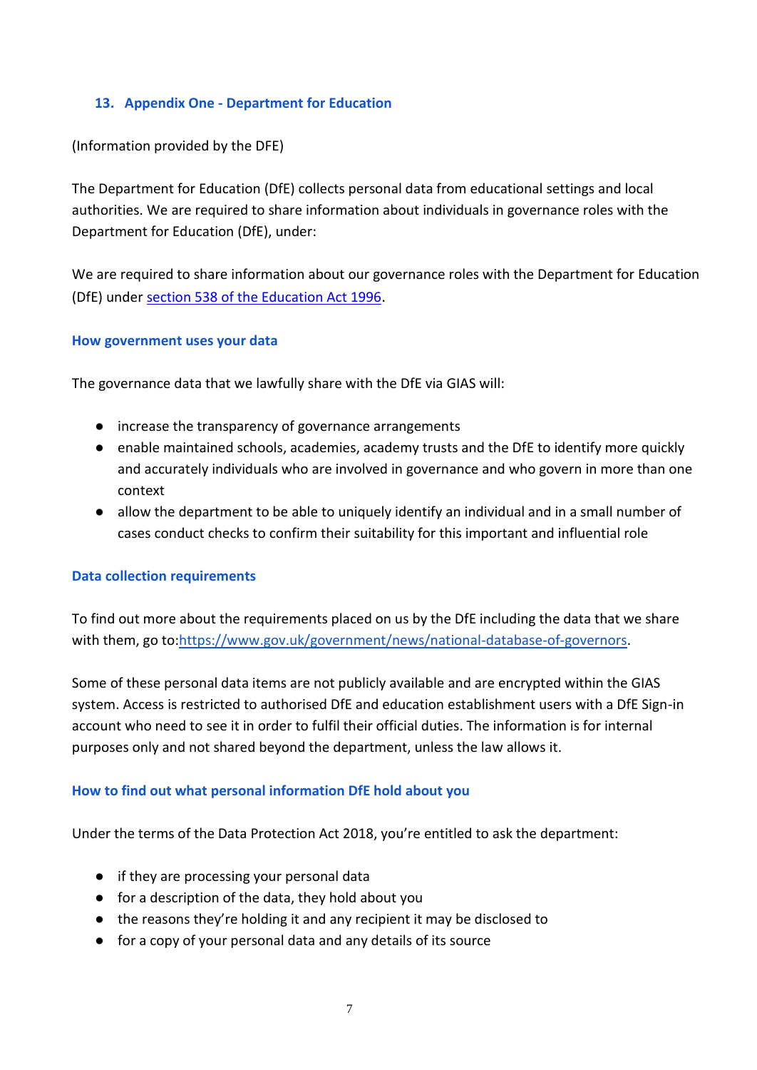#### **13. Appendix One - Department for Education**

(Information provided by the DFE)

The Department for Education (DfE) collects personal data from educational settings and local authorities. We are required to share information about individuals in governance roles with the Department for Education (DfE), under:

We are required to share information about our governance roles with the Department for Education (DfE) unde[r](http://www.legislation.gov.uk/ukpga/1996/56/section/538) [section 538 of the Education Act 1996](http://www.legislation.gov.uk/ukpga/1996/56/section/538).

#### **How government uses your data**

The governance data that we lawfully share with the DfE via GIAS will:

- increase the transparency of governance arrangements
- enable maintained schools, academies, academy trusts and the DfE to identify more quickly and accurately individuals who are involved in governance and who govern in more than one context
- allow the department to be able to uniquely identify an individual and in a small number of cases conduct checks to confirm their suitability for this important and influential role

#### **Data collection requirements**

To find out more about the requirements placed on us by the DfE including the data that we share with them, go to[:https://www.gov.uk/government/news/national-database-of-governors.](https://www.gov.uk/government/news/national-database-of-governors)

Some of these personal data items are not publicly available and are encrypted within the GIAS system. Access is restricted to authorised DfE and education establishment users with a DfE Sign-in account who need to see it in order to fulfil their official duties. The information is for internal purposes only and not shared beyond the department, unless the law allows it.

#### **How to find out what personal information DfE hold about you**

Under the terms of the Data Protection Act 2018, you're entitled to ask the department:

- if they are processing your personal data
- for a description of the data, they hold about you
- the reasons they're holding it and any recipient it may be disclosed to
- for a copy of your personal data and any details of its source